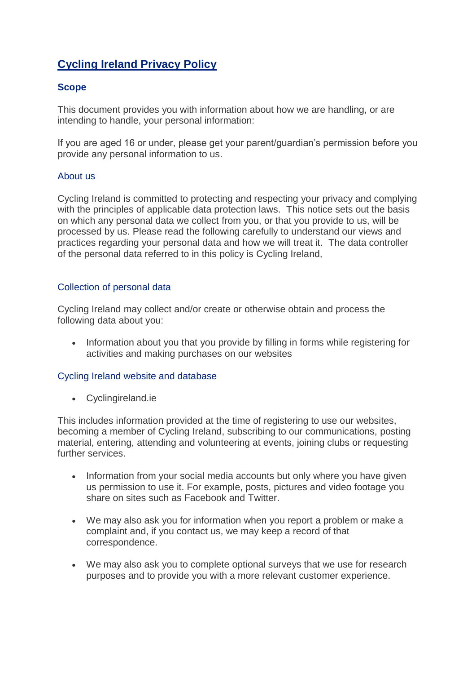# **Cycling Ireland Privacy Policy**

## **Scope**

This document provides you with information about how we are handling, or are intending to handle, your personal information:

If you are aged 16 or under, please get your parent/guardian's permission before you provide any personal information to us.

## About us

Cycling Ireland is committed to protecting and respecting your privacy and complying with the principles of applicable data protection laws. This notice sets out the basis on which any personal data we collect from you, or that you provide to us, will be processed by us. Please read the following carefully to understand our views and practices regarding your personal data and how we will treat it. The data controller of the personal data referred to in this policy is Cycling Ireland,

## Collection of personal data

Road, Dublin 1.

Cycling Ireland may collect and/or create or otherwise obtain and process the following data about you:

• Information about you that you provide by filling in forms while registering for activities and making purchases on our websites

#### Cycling Ireland website and database

• Cyclingireland.ie

This includes information provided at the time of registering to use our websites, becoming a member of Cycling Ireland, subscribing to our communications, posting material, entering, attending and volunteering at events, joining clubs or requesting further services.

- Information from your social media accounts but only where you have given us permission to use it. For example, posts, pictures and video footage you share on sites such as Facebook and Twitter.
- We may also ask you for information when you report a problem or make a complaint and, if you contact us, we may keep a record of that correspondence.
- We may also ask you to complete optional surveys that we use for research purposes and to provide you with a more relevant customer experience.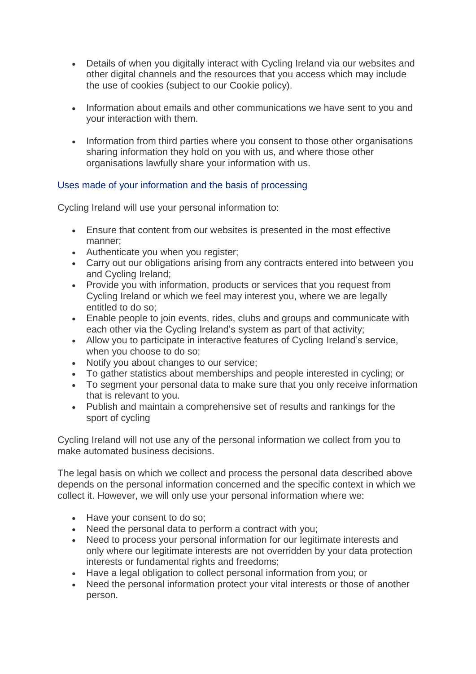- Details of when you digitally interact with Cycling Ireland via our websites and other digital channels and the resources that you access which may include the use of cookies (subject to our Cookie policy).
- Information about emails and other communications we have sent to you and your interaction with them.
- Information from third parties where you consent to those other organisations sharing information they hold on you with us, and where those other organisations lawfully share your information with us.

# Uses made of your information and the basis of processing

Cycling Ireland will use your personal information to:

- Ensure that content from our websites is presented in the most effective manner;
- Authenticate you when you register;
- Carry out our obligations arising from any contracts entered into between you and Cycling Ireland;
- Provide you with information, products or services that you request from Cycling Ireland or which we feel may interest you, where we are legally entitled to do so;
- Enable people to join events, rides, clubs and groups and communicate with each other via the Cycling Ireland's system as part of that activity;
- Allow you to participate in interactive features of Cycling Ireland's service, when you choose to do so;
- Notify you about changes to our service;
- To gather statistics about memberships and people interested in cycling; or
- To segment your personal data to make sure that you only receive information that is relevant to you.
- Publish and maintain a comprehensive set of results and rankings for the sport of cycling

Cycling Ireland will not use any of the personal information we collect from you to make automated business decisions.

The legal basis on which we collect and process the personal data described above depends on the personal information concerned and the specific context in which we collect it. However, we will only use your personal information where we:

- Have your consent to do so;
- Need the personal data to perform a contract with you;
- Need to process your personal information for our legitimate interests and only where our legitimate interests are not overridden by your data protection interests or fundamental rights and freedoms;
- Have a legal obligation to collect personal information from you; or
- Need the personal information protect your vital interests or those of another person.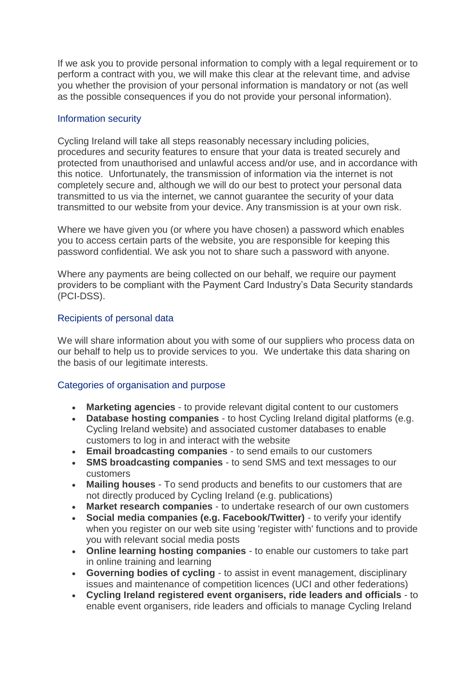If we ask you to provide personal information to comply with a legal requirement or to perform a contract with you, we will make this clear at the relevant time, and advise you whether the provision of your personal information is mandatory or not (as well as the possible consequences if you do not provide your personal information).

#### Information security

Cycling Ireland will take all steps reasonably necessary including policies, procedures and security features to ensure that your data is treated securely and protected from unauthorised and unlawful access and/or use, and in accordance with this notice. Unfortunately, the transmission of information via the internet is not completely secure and, although we will do our best to protect your personal data transmitted to us via the internet, we cannot guarantee the security of your data transmitted to our website from your device. Any transmission is at your own risk.

Where we have given you (or where you have chosen) a password which enables you to access certain parts of the website, you are responsible for keeping this password confidential. We ask you not to share such a password with anyone.

Where any payments are being collected on our behalf, we require our payment providers to be compliant with the Payment Card Industry's Data Security standards (PCI-DSS).

#### Recipients of personal data

We will share information about you with some of our suppliers who process data on our behalf to help us to provide services to you. We undertake this data sharing on the basis of our legitimate interests.

#### Categories of organisation and purpose

- **Marketing agencies** to provide relevant digital content to our customers
- **Database hosting companies** to host Cycling Ireland digital platforms (e.g. Cycling Ireland website) and associated customer databases to enable customers to log in and interact with the website
- **Email broadcasting companies** to send emails to our customers
- **SMS broadcasting companies** to send SMS and text messages to our customers
- **Mailing houses** To send products and benefits to our customers that are not directly produced by Cycling Ireland (e.g. publications)
- **Market research companies** to undertake research of our own customers
- **Social media companies (e.g. Facebook/Twitter)** to verify your identify when you register on our web site using 'register with' functions and to provide you with relevant social media posts
- **Online learning hosting companies** to enable our customers to take part in online training and learning
- **Governing bodies of cycling** to assist in event management, disciplinary issues and maintenance of competition licences (UCI and other federations)
- **Cycling Ireland registered event organisers, ride leaders and officials** to enable event organisers, ride leaders and officials to manage Cycling Ireland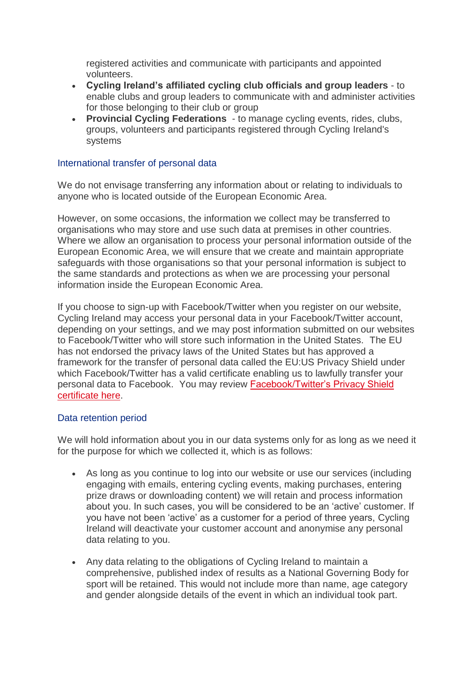registered activities and communicate with participants and appointed volunteers.

- **Cycling Ireland's affiliated cycling club officials and group leaders** to enable clubs and group leaders to communicate with and administer activities for those belonging to their club or group
- **Provincial Cycling Federations**  to manage cycling events, rides, clubs, groups, volunteers and participants registered through Cycling Ireland's systems

#### International transfer of personal data

We do not envisage transferring any information about or relating to individuals to anyone who is located outside of the European Economic Area.

However, on some occasions, the information we collect may be transferred to organisations who may store and use such data at premises in other countries. Where we allow an organisation to process your personal information outside of the European Economic Area, we will ensure that we create and maintain appropriate safeguards with those organisations so that your personal information is subject to the same standards and protections as when we are processing your personal information inside the European Economic Area.

If you choose to sign-up with Facebook/Twitter when you register on our website, Cycling Ireland may access your personal data in your Facebook/Twitter account, depending on your settings, and we may post information submitted on our websites to Facebook/Twitter who will store such information in the United States. The EU has not endorsed the privacy laws of the United States but has approved a framework for the transfer of personal data called the EU:US Privacy Shield under which Facebook/Twitter has a valid certificate enabling us to lawfully transfer your personal data to Facebook. You may review [Facebook/Twitter's Privacy Shield](https://www.privacyshield.gov/welcome)  [certificate here.](https://www.privacyshield.gov/welcome)

#### Data retention period

We will hold information about you in our data systems only for as long as we need it for the purpose for which we collected it, which is as follows:

- As long as you continue to log into our website or use our services (including engaging with emails, entering cycling events, making purchases, entering prize draws or downloading content) we will retain and process information about you. In such cases, you will be considered to be an 'active' customer. If you have not been 'active' as a customer for a period of three years, Cycling Ireland will deactivate your customer account and anonymise any personal data relating to you.
- Any data relating to the obligations of Cycling Ireland to maintain a comprehensive, published index of results as a National Governing Body for sport will be retained. This would not include more than name, age category and gender alongside details of the event in which an individual took part.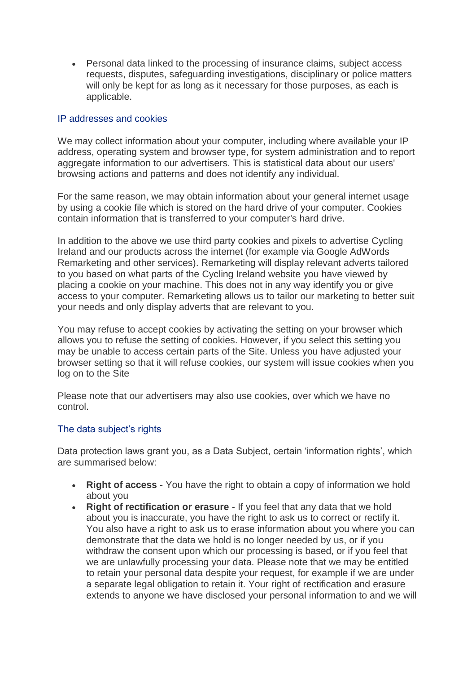• Personal data linked to the processing of insurance claims, subject access requests, disputes, safeguarding investigations, disciplinary or police matters will only be kept for as long as it necessary for those purposes, as each is applicable.

#### IP addresses and cookies

We may collect information about your computer, including where available your IP address, operating system and browser type, for system administration and to report aggregate information to our advertisers. This is statistical data about our users' browsing actions and patterns and does not identify any individual.

For the same reason, we may obtain information about your general internet usage by using a cookie file which is stored on the hard drive of your computer. Cookies contain information that is transferred to your computer's hard drive.

In addition to the above we use third party cookies and pixels to advertise Cycling Ireland and our products across the internet (for example via Google AdWords Remarketing and other services). Remarketing will display relevant adverts tailored to you based on what parts of the Cycling Ireland website you have viewed by placing a cookie on your machine. This does not in any way identify you or give access to your computer. Remarketing allows us to tailor our marketing to better suit your needs and only display adverts that are relevant to you.

You may refuse to accept cookies by activating the setting on your browser which allows you to refuse the setting of cookies. However, if you select this setting you may be unable to access certain parts of the Site. Unless you have adjusted your browser setting so that it will refuse cookies, our system will issue cookies when you log on to the Site

Please note that our advertisers may also use cookies, over which we have no control.

#### The data subject's rights

Data protection laws grant you, as a Data Subject, certain 'information rights', which are summarised below:

- **Right of access** You have the right to obtain a copy of information we hold about you
- **Right of rectification or erasure** If you feel that any data that we hold about you is inaccurate, you have the right to ask us to correct or rectify it. You also have a right to ask us to erase information about you where you can demonstrate that the data we hold is no longer needed by us, or if you withdraw the consent upon which our processing is based, or if you feel that we are unlawfully processing your data. Please note that we may be entitled to retain your personal data despite your request, for example if we are under a separate legal obligation to retain it. Your right of rectification and erasure extends to anyone we have disclosed your personal information to and we will